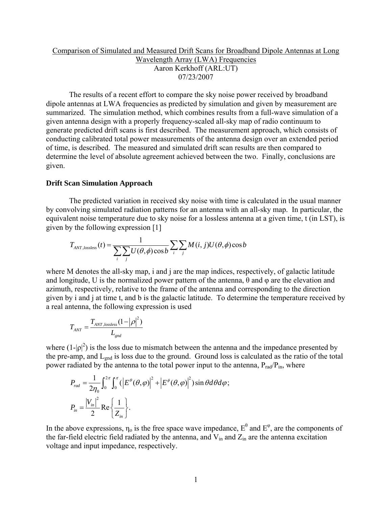# Comparison of Simulated and Measured Drift Scans for Broadband Dipole Antennas at Long Wavelength Array (LWA) Frequencies Aaron Kerkhoff (ARL:UT) 07/23/2007

 The results of a recent effort to compare the sky noise power received by broadband dipole antennas at LWA frequencies as predicted by simulation and given by measurement are summarized. The simulation method, which combines results from a full-wave simulation of a given antenna design with a properly frequency-scaled all-sky map of radio continuum to generate predicted drift scans is first described. The measurement approach, which consists of conducting calibrated total power measurements of the antenna design over an extended period of time, is described. The measured and simulated drift scan results are then compared to determine the level of absolute agreement achieved between the two. Finally, conclusions are given.

## **Drift Scan Simulation Approach**

 The predicted variation in received sky noise with time is calculated in the usual manner by convolving simulated radiation patterns for an antenna with an all-sky map. In particular, the equivalent noise temperature due to sky noise for a lossless antenna at a given time, t (in LST), is given by the following expression [1]

$$
T_{ANT,lossless}(t) = \frac{1}{\sum_{i} \sum_{j} U(\theta, \phi) \cos b} \sum_{i} \sum_{j} M(i, j) U(\theta, \phi) \cos b
$$

where M denotes the all-sky map, i and j are the map indices, respectively, of galactic latitude and longitude, U is the normalized power pattern of the antenna,  $\theta$  and  $\varphi$  are the elevation and azimuth, respectively, relative to the frame of the antenna and corresponding to the direction given by i and j at time t, and b is the galactic latitude. To determine the temperature received by a real antenna, the following expression is used

$$
T_{ANT} = \frac{T_{ANT,lossless}(1 - |\rho|^2)}{L_{gnd}}
$$

where  $(1-|\rho|^2)$  is the loss due to mismatch between the antenna and the impedance presented by the pre-amp, and L<sub>gnd</sub> is loss due to the ground. Ground loss is calculated as the ratio of the total power radiated by the antenna to the total power input to the antenna,  $P_{rad}/P_{in}$ , where

$$
P_{rad} = \frac{1}{2\eta_0} \int_0^{2\pi} \int_0^{\pi} ( \left| E^{\theta}(\theta, \varphi) \right|^2 + \left| E^{\phi}(\theta, \varphi) \right|^2 ) \sin \theta d\theta d\varphi ;
$$
  

$$
P_{in} = \frac{|V_{in}|^2}{2} \text{Re} \left\{ \frac{1}{Z_{in}} \right\}.
$$

In the above expressions,  $\eta_0$  is the free space wave impedance,  $E^{\theta}$  and  $E^{\phi}$ , are the components of the far-field electric field radiated by the antenna, and  $V_{in}$  and  $Z_{in}$  are the antenna excitation voltage and input impedance, respectively.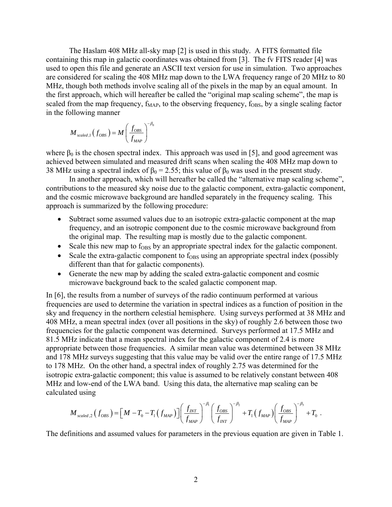The Haslam 408 MHz all-sky map [2] is used in this study. A FITS formatted file containing this map in galactic coordinates was obtained from [3]. The fv FITS reader [4] was used to open this file and generate an ASCII text version for use in simulation. Two approaches are considered for scaling the 408 MHz map down to the LWA frequency range of 20 MHz to 80 MHz, though both methods involve scaling all of the pixels in the map by an equal amount. In the first approach, which will hereafter be called the "original map scaling scheme", the map is scaled from the map frequency,  $f_{MAP}$ , to the observing frequency,  $f_{OBS}$ , by a single scaling factor in the following manner

$$
M_{\mathit{scaled},1}\left(f_\mathit{OBS}\right)=M\left(\frac{f_\mathit{OBS}}{f_\mathit{MAP}}\right)^{-\beta_0}
$$

where  $\beta_0$  is the chosen spectral index. This approach was used in [5], and good agreement was achieved between simulated and measured drift scans when scaling the 408 MHz map down to 38 MHz using a spectral index of  $\beta_0 = 2.55$ ; this value of  $\beta_0$  was used in the present study.

 In another approach, which will hereafter be called the "alternative map scaling scheme", contributions to the measured sky noise due to the galactic component, extra-galactic component, and the cosmic microwave background are handled separately in the frequency scaling. This approach is summarized by the following procedure:

- Subtract some assumed values due to an isotropic extra-galactic component at the map frequency, and an isotropic component due to the cosmic microwave background from the original map. The resulting map is mostly due to the galactic component.
- Scale this new map to  $f_{\text{OBS}}$  by an appropriate spectral index for the galactic component.
- Scale the extra-galactic component to  $f_{OBS}$  using an appropriate spectral index (possibly different than that for galactic components).
- Generate the new map by adding the scaled extra-galactic component and cosmic microwave background back to the scaled galactic component map.

In [6], the results from a number of surveys of the radio continuum performed at various frequencies are used to determine the variation in spectral indices as a function of position in the sky and frequency in the northern celestial hemisphere. Using surveys performed at 38 MHz and 408 MHz, a mean spectral index (over all positions in the sky) of roughly 2.6 between those two frequencies for the galactic component was determined. Surveys performed at 17.5 MHz and 81.5 MHz indicate that a mean spectral index for the galactic component of 2.4 is more appropriate between those frequencies. A similar mean value was determined between 38 MHz and 178 MHz surveys suggesting that this value may be valid over the entire range of 17.5 MHz to 178 MHz. On the other hand, a spectral index of roughly 2.75 was determined for the isotropic extra-galactic component; this value is assumed to be relatively constant between 408 MHz and low-end of the LWA band. Using this data, the alternative map scaling can be calculated using

$$
M_{\text{scaled},2}(f_{\text{OBS}}) = [M - T_0 - T_1(f_{\text{MAP}})] \left(\frac{f_{\text{INT}}}{f_{\text{MAP}}}\right)^{-\beta_1} \left(\frac{f_{\text{OBS}}}{f_{\text{INT}}}\right)^{-\beta_2} + T_1(f_{\text{MAP}}) \left(\frac{f_{\text{OBS}}}{f_{\text{MAP}}}\right)^{-\beta_3} + T_0.
$$

The definitions and assumed values for parameters in the previous equation are given in Table 1.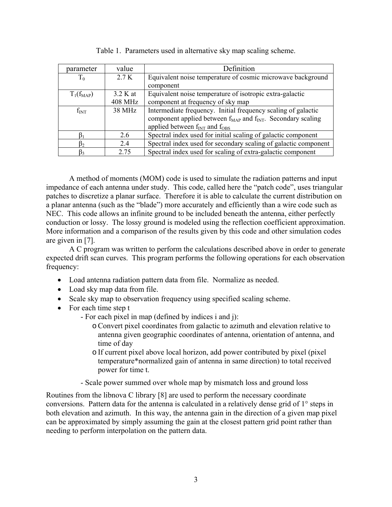| parameter      | value          | Definition                                                            |
|----------------|----------------|-----------------------------------------------------------------------|
| $T_0$          | 2.7 K          | Equivalent noise temperature of cosmic microwave background           |
|                |                | component                                                             |
| $T_1(f_{MAP})$ | 3.2 K at       | Equivalent noise temperature of isotropic extra-galactic              |
|                | <b>408 MHz</b> | component at frequency of sky map                                     |
| $f_{INT}$      | 38 MHz         | Intermediate frequency. Initial frequency scaling of galactic         |
|                |                | component applied between $f_{MAP}$ and $f_{INT}$ . Secondary scaling |
|                |                | applied between $f_{INT}$ and $f_{OBS}$                               |
|                | 26             | Spectral index used for initial scaling of galactic component         |
| $\beta_2$      | 24             | Spectral index used for secondary scaling of galactic component       |
| $\beta_3$      | 2.75           | Spectral index used for scaling of extra-galactic component           |

Table 1. Parameters used in alternative sky map scaling scheme.

A method of moments (MOM) code is used to simulate the radiation patterns and input impedance of each antenna under study. This code, called here the "patch code", uses triangular patches to discretize a planar surface. Therefore it is able to calculate the current distribution on a planar antenna (such as the "blade") more accurately and efficiently than a wire code such as NEC. This code allows an infinite ground to be included beneath the antenna, either perfectly conduction or lossy. The lossy ground is modeled using the reflection coefficient approximation. More information and a comparison of the results given by this code and other simulation codes are given in [7].

A C program was written to perform the calculations described above in order to generate expected drift scan curves. This program performs the following operations for each observation frequency:

- Load antenna radiation pattern data from file. Normalize as needed.
- Load sky map data from file.
- Scale sky map to observation frequency using specified scaling scheme.
- For each time step t
	- For each pixel in map (defined by indices i and j):
		- oConvert pixel coordinates from galactic to azimuth and elevation relative to antenna given geographic coordinates of antenna, orientation of antenna, and time of day
		- o If current pixel above local horizon, add power contributed by pixel (pixel temperature\*normalized gain of antenna in same direction) to total received power for time t.
	- Scale power summed over whole map by mismatch loss and ground loss

Routines from the libnova C library [8] are used to perform the necessary coordinate conversions. Pattern data for the antenna is calculated in a relatively dense grid of 1° steps in both elevation and azimuth. In this way, the antenna gain in the direction of a given map pixel can be approximated by simply assuming the gain at the closest pattern grid point rather than needing to perform interpolation on the pattern data.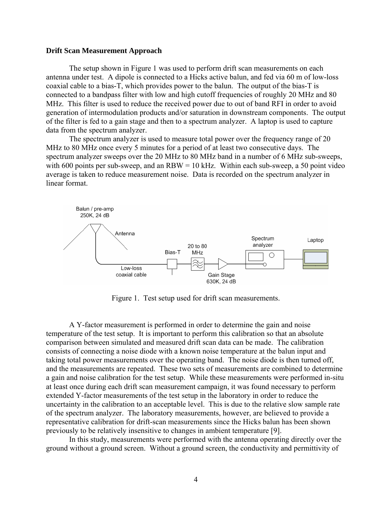#### **Drift Scan Measurement Approach**

 The setup shown in Figure 1 was used to perform drift scan measurements on each antenna under test. A dipole is connected to a Hicks active balun, and fed via 60 m of low-loss coaxial cable to a bias-T, which provides power to the balun. The output of the bias-T is connected to a bandpass filter with low and high cutoff frequencies of roughly 20 MHz and 80 MHz. This filter is used to reduce the received power due to out of band RFI in order to avoid generation of intermodulation products and/or saturation in downstream components. The output of the filter is fed to a gain stage and then to a spectrum analyzer. A laptop is used to capture data from the spectrum analyzer.

 The spectrum analyzer is used to measure total power over the frequency range of 20 MHz to 80 MHz once every 5 minutes for a period of at least two consecutive days. The spectrum analyzer sweeps over the 20 MHz to 80 MHz band in a number of 6 MHz sub-sweeps, with 600 points per sub-sweep, and an  $RBW = 10$  kHz. Within each sub-sweep, a 50 point video average is taken to reduce measurement noise. Data is recorded on the spectrum analyzer in linear format.



Figure 1. Test setup used for drift scan measurements.

 A Y-factor measurement is performed in order to determine the gain and noise temperature of the test setup. It is important to perform this calibration so that an absolute comparison between simulated and measured drift scan data can be made. The calibration consists of connecting a noise diode with a known noise temperature at the balun input and taking total power measurements over the operating band. The noise diode is then turned off, and the measurements are repeated. These two sets of measurements are combined to determine a gain and noise calibration for the test setup. While these measurements were performed in-situ at least once during each drift scan measurement campaign, it was found necessary to perform extended Y-factor measurements of the test setup in the laboratory in order to reduce the uncertainty in the calibration to an acceptable level. This is due to the relative slow sample rate of the spectrum analyzer. The laboratory measurements, however, are believed to provide a representative calibration for drift-scan measurements since the Hicks balun has been shown previously to be relatively insensitive to changes in ambient temperature [9].

 In this study, measurements were performed with the antenna operating directly over the ground without a ground screen. Without a ground screen, the conductivity and permittivity of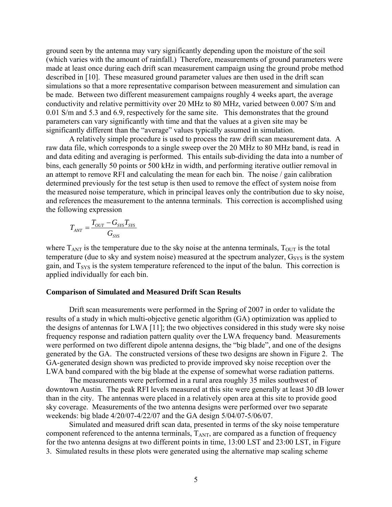ground seen by the antenna may vary significantly depending upon the moisture of the soil (which varies with the amount of rainfall.) Therefore, measurements of ground parameters were made at least once during each drift scan measurement campaign using the ground probe method described in [10]. These measured ground parameter values are then used in the drift scan simulations so that a more representative comparison between measurement and simulation can be made. Between two different measurement campaigns roughly 4 weeks apart, the average conductivity and relative permittivity over 20 MHz to 80 MHz, varied between 0.007 S/m and 0.01 S/m and 5.3 and 6.9, respectively for the same site. This demonstrates that the ground parameters can vary significantly with time and that the values at a given site may be significantly different than the "average" values typically assumed in simulation.

 A relatively simple procedure is used to process the raw drift scan measurement data. A raw data file, which corresponds to a single sweep over the 20 MHz to 80 MHz band, is read in and data editing and averaging is performed. This entails sub-dividing the data into a number of bins, each generally 50 points or 500 kHz in width, and performing iterative outlier removal in an attempt to remove RFI and calculating the mean for each bin. The noise / gain calibration determined previously for the test setup is then used to remove the effect of system noise from the measured noise temperature, which in principal leaves only the contribution due to sky noise, and references the measurement to the antenna terminals. This correction is accomplished using the following expression

$$
T_{ANT} = \frac{T_{OUT} - G_{SYS}T_{SYS}}{G_{SYS}}
$$

where  $T_{\text{ANT}}$  is the temperature due to the sky noise at the antenna terminals,  $T_{\text{OUT}}$  is the total temperature (due to sky and system noise) measured at the spectrum analyzer,  $G<sub>SYS</sub>$  is the system gain, and  $T_{SYS}$  is the system temperature referenced to the input of the balun. This correction is applied individually for each bin.

#### **Comparison of Simulated and Measured Drift Scan Results**

 Drift scan measurements were performed in the Spring of 2007 in order to validate the results of a study in which multi-objective genetic algorithm (GA) optimization was applied to the designs of antennas for LWA [11]; the two objectives considered in this study were sky noise frequency response and radiation pattern quality over the LWA frequency band. Measurements were performed on two different dipole antenna designs, the "big blade", and one of the designs generated by the GA. The constructed versions of these two designs are shown in Figure 2. The GA-generated design shown was predicted to provide improved sky noise reception over the LWA band compared with the big blade at the expense of somewhat worse radiation patterns.

 The measurements were performed in a rural area roughly 35 miles southwest of downtown Austin. The peak RFI levels measured at this site were generally at least 30 dB lower than in the city. The antennas were placed in a relatively open area at this site to provide good sky coverage. Measurements of the two antenna designs were performed over two separate weekends: big blade 4/20/07-4/22/07 and the GA design 5/04/07-5/06/07.

Simulated and measured drift scan data, presented in terms of the sky noise temperature component referenced to the antenna terminals,  $T_{ANT}$ , are compared as a function of frequency for the two antenna designs at two different points in time, 13:00 LST and 23:00 LST, in Figure 3. Simulated results in these plots were generated using the alternative map scaling scheme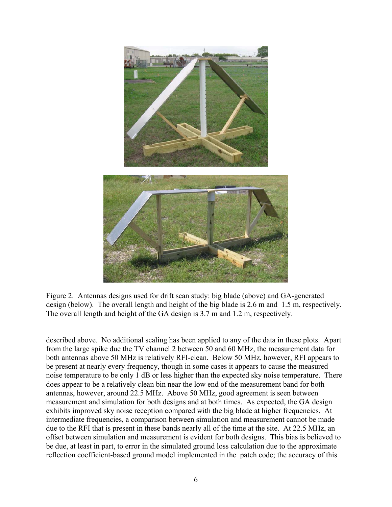

Figure 2. Antennas designs used for drift scan study: big blade (above) and GA-generated design (below). The overall length and height of the big blade is 2.6 m and 1.5 m, respectively. The overall length and height of the GA design is 3.7 m and 1.2 m, respectively.

described above. No additional scaling has been applied to any of the data in these plots. Apart from the large spike due the TV channel 2 between 50 and 60 MHz, the measurement data for both antennas above 50 MHz is relatively RFI-clean. Below 50 MHz, however, RFI appears to be present at nearly every frequency, though in some cases it appears to cause the measured noise temperature to be only 1 dB or less higher than the expected sky noise temperature. There does appear to be a relatively clean bin near the low end of the measurement band for both antennas, however, around 22.5 MHz. Above 50 MHz, good agreement is seen between measurement and simulation for both designs and at both times. As expected, the GA design exhibits improved sky noise reception compared with the big blade at higher frequencies. At intermediate frequencies, a comparison between simulation and measurement cannot be made due to the RFI that is present in these bands nearly all of the time at the site. At 22.5 MHz, an offset between simulation and measurement is evident for both designs. This bias is believed to be due, at least in part, to error in the simulated ground loss calculation due to the approximate reflection coefficient-based ground model implemented in the patch code; the accuracy of this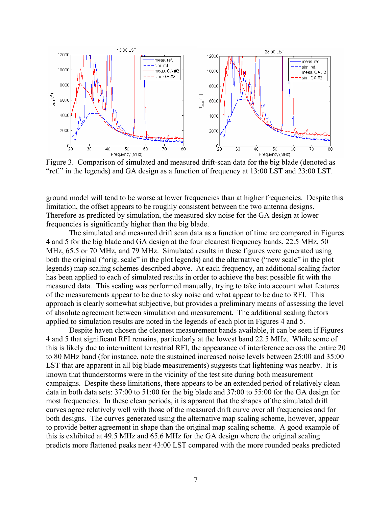

Figure 3. Comparison of simulated and measured drift-scan data for the big blade (denoted as "ref." in the legends) and GA design as a function of frequency at 13:00 LST and 23:00 LST.

ground model will tend to be worse at lower frequencies than at higher frequencies. Despite this limitation, the offset appears to be roughly consistent between the two antenna designs. Therefore as predicted by simulation, the measured sky noise for the GA design at lower frequencies is significantly higher than the big blade.

 The simulated and measured drift scan data as a function of time are compared in Figures 4 and 5 for the big blade and GA design at the four cleanest frequency bands, 22.5 MHz, 50 MHz, 65.5 or 70 MHz, and 79 MHz. Simulated results in these figures were generated using both the original ("orig. scale" in the plot legends) and the alternative ("new scale" in the plot legends) map scaling schemes described above. At each frequency, an additional scaling factor has been applied to each of simulated results in order to achieve the best possible fit with the measured data. This scaling was performed manually, trying to take into account what features of the measurements appear to be due to sky noise and what appear to be due to RFI. This approach is clearly somewhat subjective, but provides a preliminary means of assessing the level of absolute agreement between simulation and measurement. The additional scaling factors applied to simulation results are noted in the legends of each plot in Figures 4 and 5.

Despite haven chosen the cleanest measurement bands available, it can be seen if Figures 4 and 5 that significant RFI remains, particularly at the lowest band 22.5 MHz. While some of this is likely due to intermittent terrestrial RFI, the appearance of interference across the entire 20 to 80 MHz band (for instance, note the sustained increased noise levels between 25:00 and 35:00 LST that are apparent in all big blade measurements) suggests that lightening was nearby. It is known that thunderstorms were in the vicinity of the test site during both measurement campaigns. Despite these limitations, there appears to be an extended period of relatively clean data in both data sets: 37:00 to 51:00 for the big blade and 37:00 to 55:00 for the GA design for most frequencies. In these clean periods, it is apparent that the shapes of the simulated drift curves agree relatively well with those of the measured drift curve over all frequencies and for both designs. The curves generated using the alternative map scaling scheme, however, appear to provide better agreement in shape than the original map scaling scheme. A good example of this is exhibited at 49.5 MHz and 65.6 MHz for the GA design where the original scaling predicts more flattened peaks near 43:00 LST compared with the more rounded peaks predicted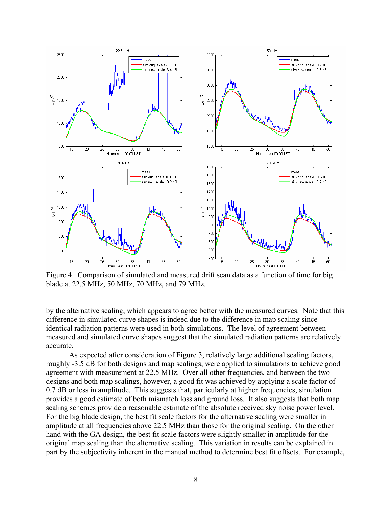

Figure 4. Comparison of simulated and measured drift scan data as a function of time for big blade at 22.5 MHz, 50 MHz, 70 MHz, and 79 MHz.

by the alternative scaling, which appears to agree better with the measured curves. Note that this difference in simulated curve shapes is indeed due to the difference in map scaling since identical radiation patterns were used in both simulations. The level of agreement between measured and simulated curve shapes suggest that the simulated radiation patterns are relatively accurate.

As expected after consideration of Figure 3, relatively large additional scaling factors, roughly -3.5 dB for both designs and map scalings, were applied to simulations to achieve good agreement with measurement at 22.5 MHz. Over all other frequencies, and between the two designs and both map scalings, however, a good fit was achieved by applying a scale factor of 0.7 dB or less in amplitude. This suggests that, particularly at higher frequencies, simulation provides a good estimate of both mismatch loss and ground loss. It also suggests that both map scaling schemes provide a reasonable estimate of the absolute received sky noise power level. For the big blade design, the best fit scale factors for the alternative scaling were smaller in amplitude at all frequencies above 22.5 MHz than those for the original scaling. On the other hand with the GA design, the best fit scale factors were slightly smaller in amplitude for the original map scaling than the alternative scaling. This variation in results can be explained in part by the subjectivity inherent in the manual method to determine best fit offsets. For example,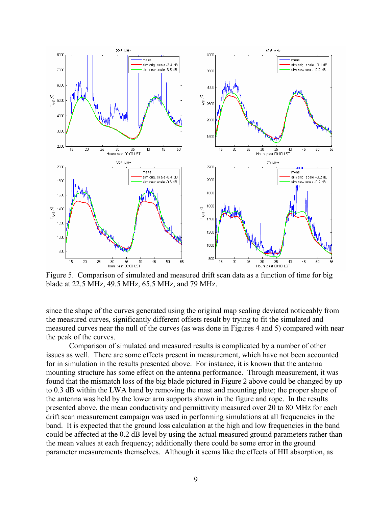

Figure 5. Comparison of simulated and measured drift scan data as a function of time for big blade at 22.5 MHz, 49.5 MHz, 65.5 MHz, and 79 MHz.

since the shape of the curves generated using the original map scaling deviated noticeably from the measured curves, significantly different offsets result by trying to fit the simulated and measured curves near the null of the curves (as was done in Figures 4 and 5) compared with near the peak of the curves.

Comparison of simulated and measured results is complicated by a number of other issues as well. There are some effects present in measurement, which have not been accounted for in simulation in the results presented above. For instance, it is known that the antenna mounting structure has some effect on the antenna performance. Through measurement, it was found that the mismatch loss of the big blade pictured in Figure 2 above could be changed by up to 0.3 dB within the LWA band by removing the mast and mounting plate; the proper shape of the antenna was held by the lower arm supports shown in the figure and rope. In the results presented above, the mean conductivity and permittivity measured over 20 to 80 MHz for each drift scan measurement campaign was used in performing simulations at all frequencies in the band. It is expected that the ground loss calculation at the high and low frequencies in the band could be affected at the 0.2 dB level by using the actual measured ground parameters rather than the mean values at each frequency; additionally there could be some error in the ground parameter measurements themselves. Although it seems like the effects of HII absorption, as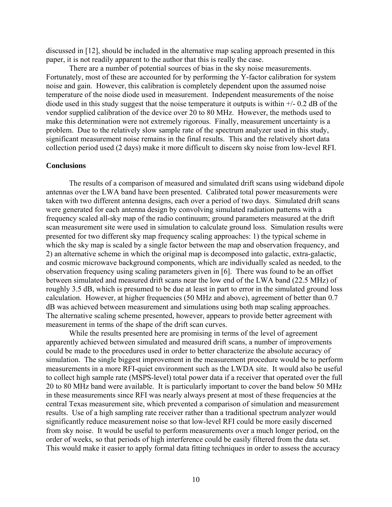discussed in [12], should be included in the alternative map scaling approach presented in this paper, it is not readily apparent to the author that this is really the case.

There are a number of potential sources of bias in the sky noise measurements. Fortunately, most of these are accounted for by performing the Y-factor calibration for system noise and gain. However, this calibration is completely dependent upon the assumed noise temperature of the noise diode used in measurement. Independent measurements of the noise diode used in this study suggest that the noise temperature it outputs is within +/- 0.2 dB of the vendor supplied calibration of the device over 20 to 80 MHz. However, the methods used to make this determination were not extremely rigorous. Finally, measurement uncertainty is a problem. Due to the relatively slow sample rate of the spectrum analyzer used in this study, significant measurement noise remains in the final results. This and the relatively short data collection period used (2 days) make it more difficult to discern sky noise from low-level RFI.

## **Conclusions**

 The results of a comparison of measured and simulated drift scans using wideband dipole antennas over the LWA band have been presented. Calibrated total power measurements were taken with two different antenna designs, each over a period of two days. Simulated drift scans were generated for each antenna design by convolving simulated radiation patterns with a frequency scaled all-sky map of the radio continuum; ground parameters measured at the drift scan measurement site were used in simulation to calculate ground loss. Simulation results were presented for two different sky map frequency scaling approaches: 1) the typical scheme in which the sky map is scaled by a single factor between the map and observation frequency, and 2) an alternative scheme in which the original map is decomposed into galactic, extra-galactic, and cosmic microwave background components, which are individually scaled as needed, to the observation frequency using scaling parameters given in [6]. There was found to be an offset between simulated and measured drift scans near the low end of the LWA band (22.5 MHz) of roughly 3.5 dB, which is presumed to be due at least in part to error in the simulated ground loss calculation. However, at higher frequencies (50 MHz and above), agreement of better than 0.7 dB was achieved between measurement and simulations using both map scaling approaches. The alternative scaling scheme presented, however, appears to provide better agreement with measurement in terms of the shape of the drift scan curves.

 While the results presented here are promising in terms of the level of agreement apparently achieved between simulated and measured drift scans, a number of improvements could be made to the procedures used in order to better characterize the absolute accuracy of simulation. The single biggest improvement in the measurement procedure would be to perform measurements in a more RFI-quiet environment such as the LWDA site. It would also be useful to collect high sample rate (MSPS-level) total power data if a receiver that operated over the full 20 to 80 MHz band were available. It is particularly important to cover the band below 50 MHz in these measurements since RFI was nearly always present at most of these frequencies at the central Texas measurement site, which prevented a comparison of simulation and measurement results. Use of a high sampling rate receiver rather than a traditional spectrum analyzer would significantly reduce measurement noise so that low-level RFI could be more easily discerned from sky noise. It would be useful to perform measurements over a much longer period, on the order of weeks, so that periods of high interference could be easily filtered from the data set. This would make it easier to apply formal data fitting techniques in order to assess the accuracy